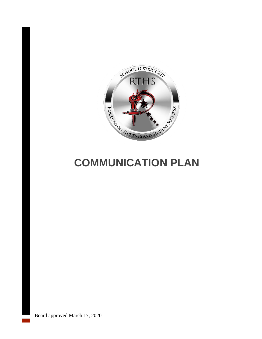

# **COMMUNICATION PLAN**

Board approved March 17, 2020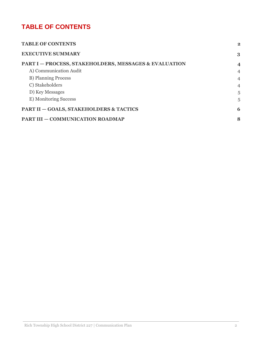# <span id="page-1-0"></span>**TABLE OF CONTENTS**

| <b>TABLE OF CONTENTS</b>                                         | $\overline{\mathbf{2}}$ |
|------------------------------------------------------------------|-------------------------|
| <b>EXECUTIVE SUMMARY</b>                                         | 3                       |
| <b>PART I – PROCESS, STAKEHOLDERS, MESSAGES &amp; EVALUATION</b> | $\overline{4}$          |
| A) Communication Audit                                           | $\overline{4}$          |
| <b>B</b> ) Planning Process                                      | $\overline{4}$          |
| C) Stakeholders                                                  | $\overline{4}$          |
| D) Key Messages                                                  | 5                       |
| E) Monitoring Success                                            | 5                       |
| <b>PART II - GOALS, STAKEHOLDERS &amp; TACTICS</b>               | 6                       |
| <b>PART III - COMMUNICATION ROADMAP</b>                          | 8                       |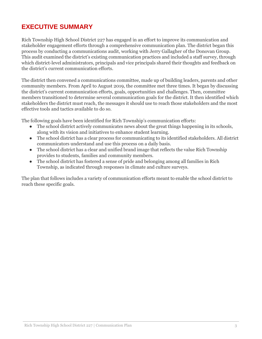# <span id="page-2-0"></span>**EXECUTIVE SUMMARY**

Rich Township High School District 227 has engaged in an effort to improve its communication and stakeholder engagement efforts through a comprehensive communication plan. The district began this process by conducting a communications audit, working with Jerry Gallagher of the Donovan Group. This audit examined the district's existing communication practices and included a staff survey, through which district-level administrators, principals and vice principals shared their thoughts and feedback on the district's current communication efforts.

The district then convened a communications committee, made up of building leaders, parents and other community members. From April to August 2019, the committee met three times. It began by discussing the district's current communication efforts, goals, opportunities and challenges. Then, committee members transitioned to determine several communication goals for the district. It then identified which stakeholders the district must reach, the messages it should use to reach those stakeholders and the most effective tools and tactics available to do so.

The following goals have been identified for Rich Township's communication efforts:

- The school district actively communicates news about the great things happening in its schools, along with its vision and initiatives to enhance student learning.
- The school district has a clear process for communicating to its identified stakeholders. All district communicators understand and use this process on a daily basis.
- The school district has a clear and unified brand image that reflects the value Rich Township provides to students, families and community members.
- The school district has fostered a sense of pride and belonging among all families in Rich Township, as indicated through responses in climate and culture surveys.

The plan that follows includes a variety of communication efforts meant to enable the school district to reach these specific goals.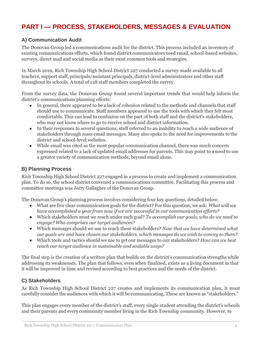# <span id="page-3-0"></span>**PART I — PROCESS, STAKEHOLDERS, MESSAGES & EVALUATION**

# <span id="page-3-1"></span>**A) Communication Audit**

The Donovan Group led a communications audit for the district. This process included an inventory of existing communications efforts, which found district communicators used email, school-based websites, surveys, direct mail and social media as their most common tools and strategies.

In March 2019, Rich Township High School District 227 conducted a survey made available to all teachers, support staff, principals/assistant principals, district-level administrators and other staff throughout its schools. A total of 128 staff members completed the survey.

From the survey data, the Donovan Group found several important trends that would help inform the district's communications planning efforts:

- In general, there appeared to be a lack of cohesion related to the methods and channels that staff should use to communicate. Staff members appeared to use the tools with which they felt most comfortable. This can lead to confusion on the part of both staff and the district's stakeholders, who may not know where to go to receive school and district information.
- In their responses to several questions, staff referred to an inability to reach a wide audience of stakeholders through mass email messages. Many also spoke to the need for improvements to the district and school-level websites.
- While email was cited as the most popular communication channel, there was much concern expressed related to a lack of updated email addresses for parents. This may point to a need to use a greater variety of communication methods, beyond email alone.

# <span id="page-3-2"></span>**B) Planning Process**

Rich Township High School District 227 engaged in a process to create and implement a communication plan. To do so, the school district convened a communications committee. Facilitating this process and committee meetings was Jerry Gallagher of the Donovan Group.

The Donovan Group's planning process involves considering four key questions, detailed below:

- What are five clear communication goals for the district? For this question, we ask: *What will we have accomplished a year from now if we are successful in our communication efforts?*
- Which stakeholders must we reach under each goal? *To accomplish our goals, who do we need to engage? Who comprises our target audiences?*
- Which messages should we use to reach these stakeholders? *Now that we have determined what our goals are and have chosen our stakeholders, which messages do we wish to convey to them?*
- Which tools and tactics should we use to get our messages to our stakeholders? *How can we best reach our target audience in sustainable and scalable ways?*

The final step is the creation of a written plan that builds on the district's communication strengths while addressing its weaknesses. The plan that follows, even when finalized, exists as a living document in that it will be improved in time and revised according to best practices and the needs of the district.

# <span id="page-3-3"></span>**C) Stakeholders**

As Rich Township High School District 227 creates and implements its communication plan, it must carefully consider the audiences with which it will be communicating. These are known as "stakeholders."

This plan engages every member of the district's staff, every single student attending the district's schools and their parents and every community member living in the Rich Township community. However, to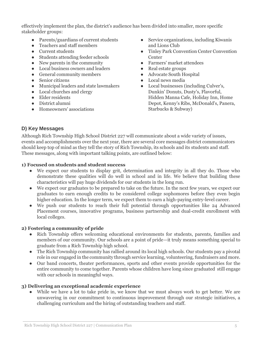effectively implement the plan, the district's audience has been divided into smaller, more specific stakeholder groups:

- Parents/guardians of current students
- Teachers and staff members
- Current students
- Students attending feeder schools
- New parents in the community
- Local business owners and leaders
- General community members
- Senior citizens
- Municipal leaders and state lawmakers
- Local churches and clergy
- Elder residents
- District alumni
- Homeowners' associations
- Service organizations, including Kiwanis and Lions Club
- Tinley Park Convention Center Convention **Center**
- Farmers' market attendees
- Real estate groups
- Advocate South Hospital
- Local news media
- Local businesses (including Culver's, Dunkin' Donuts, Dusty's, Flavorful, Hidden Manna Cafe, Holiday Inn, Home Depot, Kenny's Ribs, McDonald's, Panera, Starbucks & Subway)

# <span id="page-4-0"></span>**D) Key Messages**

Although Rich Township High School District 227 will communicate about a wide variety of issues, events and accomplishments over the next year, there are several core messages district communicators should keep top of mind as they tell the story of Rich Township, its schools and its students and staff. These messages, along with important talking points, are outlined below:

#### **1) Focused on students and student success**

- We expect our students to display grit, determination and integrity in all they do. Those who demonstrate these qualities will do well in school and in life. We believe that building these characteristics will pay huge dividends for our students in the long run.
- We expect our graduates to be prepared to take on the future. In the next few years, we expect our graduates to earn enough credits to be considered college sophomores before they even begin higher education. In the longer term, we expect them to earn a high-paying entry-level career.
- We push our students to reach their full potential through opportunities like 24 Advanced Placement courses, innovative programs, business partnership and dual-credit enrollment with local colleges.

#### **2) Fostering a community of pride**

- Rich Township offers welcoming educational environments for students, parents, families and members of our community. Our schools are a point of pride—it truly means something special to graduate from a Rich Township high school.
- The Rich Township community has rallied around its local high schools. Our students pay a pivotal role in our engaged in the community through service learning, volunteering, fundraisers and more.
- Our band concerts, theater performances, sports and other events provide opportunities for the entire community to come together. Parents whose children have long since graduated still engage with our schools in meaningful ways.

#### **3) Delivering an exceptional academic experience**

• While we have a lot to take pride in, we know that we must always work to get better. We are unwavering in our commitment to continuous improvement through our strategic initiatives, a challenging curriculum and the hiring of outstanding teachers and staff.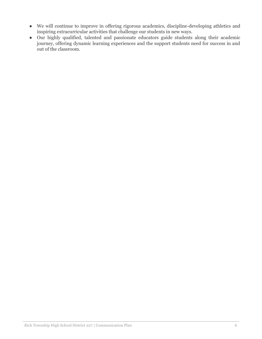- We will continue to improve in offering rigorous academics, discipline-developing athletics and inspiring extracurricular activities that challenge our students in new ways.
- Our highly qualified, talented and passionate educators guide students along their academic journey, offering dynamic learning experiences and the support students need for success in and out of the classroom.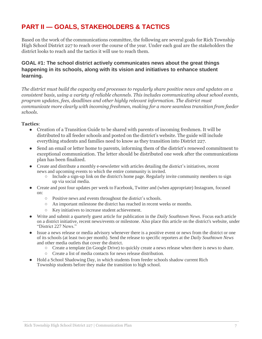# <span id="page-6-0"></span>**PART II — GOALS, STAKEHOLDERS & TACTICS**

Based on the work of the communications committee, the following are several goals for Rich Township High School District 227 to reach over the course of the year. Under each goal are the stakeholders the district looks to reach and the tactics it will use to reach them.

# **GOAL #1: The school district actively communicates news about the great things happening in its schools, along with its vision and initiatives to enhance student learning.**

*The district must build the capacity and processes to regularly share positive news and updates on a consistent basis, using a variety of reliable channels. This includes communicating about school events, program updates, fees, deadlines and other highly relevant information. The district must communicate more clearly with incoming freshmen, making for a more seamless transition from feeder schools.*

#### **Tactics**:

- Creation of a Transition Guide to be shared with parents of incoming freshmen. It will be distributed to all feeder schools and posted on the district's website. The guide will include everything students and families need to know as they transition into District 227.
- Send an email or letter home to parents, informing them of the district's renewed commitment to exceptional communication. The letter should be distributed one week after the communications plan has been finalized.
- Create and distribute a monthly e-newsletter with articles detailing the district's initiatives, recent news and upcoming events to which the entire community is invited.
	- $\circ$  Include a sign-up link on the district's home page. Regularly invite community members to sign up via social media.
- Create and post four updates per week to Facebook, Twitter and (when appropriate) Instagram, focused on:
	- Positive news and events throughout the district's schools.
	- An important milestone the district has reached in recent weeks or months.
	- Key initiatives to increase student achievement.
- Write and submit a quarterly guest article for publication in the *Daily Southtown News*. Focus each article on a district initiative, recent news/events or milestone. Also place this article on the district's website, under "District 227 News."
- Issue a news release or media advisory whenever there is a positive event or news from the district or one of its schools (at least two per month). Send the release to specific reporters at the *Daily Southtown News* and other media outlets that cover the district.
	- Create a template (in Google Drive) to quickly create a news release when there is news to share.
	- Create a list of media contacts for news release distribution.
- Hold a School Shadowing Day, in which students from feeder schools shadow current Rich Township students before they make the transition to high school.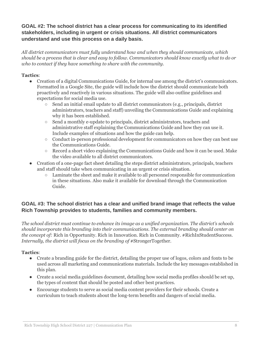# **GOAL #2: The school district has a clear process for communicating to its identified stakeholders, including in urgent or crisis situations. All district communicators understand and use this process on a daily basis.**

*All district communicators must fully understand how and when they should communicate, which* should be a process that is clear and easy to follow. Communicators should know exactly what to do or *who to contact if they have something to share with the community.*

# **Tactics**:

- Creation of a digital Communications Guide, for internal use among the district's communicators. Formatted in a Google Site, the guide will include how the district should communicate both proactively and reactively in various situations. The guide will also outline guidelines and expectations for social media use.
	- Send an initial email update to all district communicators (e.g., principals, district administrators, teachers and staff) unveiling the Communications Guide and explaining why it has been established.
	- Send a monthly e-update to principals, district administrators, teachers and administrative staff explaining the Communications Guide and how they can use it. Include examples of situations and how the guide can help.
	- Conduct in-person professional development for communicators on how they can best use the Communications Guide.
	- Record a short video explaining the Communications Guide and how it can be used. Make the video available to all district communicators.
- Creation of a one-page fact sheet detailing the steps district administrators, principals, teachers and staff should take when communicating in an urgent or crisis situation.
	- $\circ$  Laminate the sheet and make it available to all personnel responsible for communication in these situations. Also make it available for download through the Communication Guide.

# **GOAL #3: The school district has a clear and unified brand image that reflects the value Rich Township provides to students, families and community members.**

*The school district must continue to enhance its image as a unified organization. The district's schools should incorporate this branding into their communications. The external branding should center on the concept of:* Rich in Opportunity. Rich in Innovation. Rich in Community. #RichInStudentSuccess. *Internally, the district will focus on the branding of* #StrongerTogether.

# **Tactics**:

- Create a branding guide for the district, detailing the proper use of logos, colors and fonts to be used across all marketing and communications materials. Include the key messages established in this plan.
- Create a social media guidelines document, detailing how social media profiles should be set up, the types of content that should be posted and other best practices.
- Encourage students to serve as social media content providers for their schools. Create a curriculum to teach students about the long-term benefits and dangers of social media.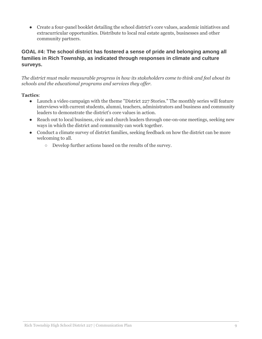● Create a four-panel booklet detailing the school district's core values, academic initiatives and extracurricular opportunities. Distribute to local real estate agents, businesses and other community partners.

# **GOAL #4: The school district has fostered a sense of pride and belonging among all families in Rich Township, as indicated through responses in climate and culture surveys.**

*The district must make measurable progress in how its stakeholders come to think and feel about its schools and the educational programs and services they offer.*

#### **Tactics**:

- Launch a video campaign with the theme "District 227 Stories." The monthly series will feature interviews with current students, alumni, teachers, administrators and business and community leaders to demonstrate the district's core values in action.
- Reach out to local business, civic and church leaders through one-on-one meetings, seeking new ways in which the district and community can work together.
- Conduct a climate survey of district families, seeking feedback on how the district can be more welcoming to all.
	- Develop further actions based on the results of the survey.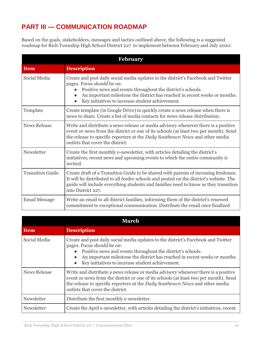# <span id="page-9-0"></span>**PART III — COMMUNICATION ROADMAP**

Based on the goals, stakeholders, messages and tactics outlined above, the following is a suggested roadmap for Rich Township High School District 227 to implement between February and July 2020:

| <b>February</b>         |                                                                                                                                                                                                                                                                                                                                            |
|-------------------------|--------------------------------------------------------------------------------------------------------------------------------------------------------------------------------------------------------------------------------------------------------------------------------------------------------------------------------------------|
| <b>Item</b>             | <b>Description</b>                                                                                                                                                                                                                                                                                                                         |
| Social Media            | Create and post daily social media updates to the district's Facebook and Twitter<br>pages. Focus should be on:<br>Positive news and events throughout the district's schools.<br>An important milestone the district has reached in recent weeks or months.<br>$\bullet$<br>Key initiatives to increase student achievement.<br>$\bullet$ |
| Template                | Create template (in Google Drive) to quickly create a news release when there is<br>news to share. Create a list of media contacts for news release distribution.                                                                                                                                                                          |
| <b>News Release</b>     | Write and distribute a news release or media advisory whenever there is a positive<br>event or news from the district or one of its schools (at least two per month). Send<br>the release to specific reporters at the Daily Southtown News and other media<br>outlets that cover the district.                                            |
| Newsletter              | Create the first monthly e-newsletter, with articles detailing the district's<br>initiatives, recent news and upcoming events to which the entire community is<br>invited.                                                                                                                                                                 |
| <b>Transition Guide</b> | Create draft of a Transition Guide to be shared with parents of incoming freshmen.<br>It will be distributed to all feeder schools and posted on the district's website. The<br>guide will include everything students and families need to know as they transition<br>into District 227.                                                  |
| <b>Email Message</b>    | Write an email to all district families, informing them of the district's renewed<br>commitment to exceptional communication. Distribute the email once finalized.                                                                                                                                                                         |

| <b>March</b>        |                                                                                                                                                                                                                                                                                                                                            |
|---------------------|--------------------------------------------------------------------------------------------------------------------------------------------------------------------------------------------------------------------------------------------------------------------------------------------------------------------------------------------|
| <b>Item</b>         | <b>Description</b>                                                                                                                                                                                                                                                                                                                         |
| Social Media        | Create and post daily social media updates to the district's Facebook and Twitter<br>pages. Focus should be on:<br>Positive news and events throughout the district's schools.<br>An important milestone the district has reached in recent weeks or months.<br>$\bullet$<br>Key initiatives to increase student achievement.<br>$\bullet$ |
| <b>News Release</b> | Write and distribute a news release or media advisory whenever there is a positive<br>event or news from the district or one of its schools (at least two per month). Send<br>the release to specific reporters at the <i>Daily Southtown News</i> and other media<br>outlets that cover the district.                                     |
| Newsletter          | Distribute the first monthly e-newsletter.                                                                                                                                                                                                                                                                                                 |
| Newsletter          | Create the April e-newsletter, with articles detailing the district's initiatives, recent                                                                                                                                                                                                                                                  |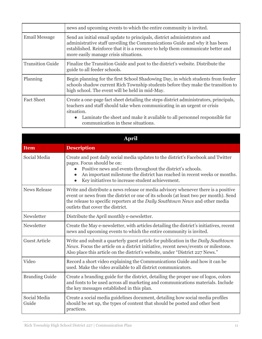|                         | news and upcoming events to which the entire community is invited.                                                                                                                                                                                                                                              |
|-------------------------|-----------------------------------------------------------------------------------------------------------------------------------------------------------------------------------------------------------------------------------------------------------------------------------------------------------------|
| <b>Email Message</b>    | Send an initial email update to principals, district administrators and<br>administrative staff unveiling the Communications Guide and why it has been<br>established. Reinforce that it is a resource to help them communicate better and<br>more easily manage crisis situations.                             |
| <b>Transition Guide</b> | Finalize the Transition Guide and post to the district's website. Distribute the<br>guide to all feeder schools.                                                                                                                                                                                                |
| Planning                | Begin planning for the first School Shadowing Day, in which students from feeder<br>schools shadow current Rich Township students before they make the transition to<br>high school. The event will be held in mid-May.                                                                                         |
| <b>Fact Sheet</b>       | Create a one-page fact sheet detailing the steps district administrators, principals,<br>teachers and staff should take when communicating in an urgent or crisis<br>situation.<br>Laminate the sheet and make it available to all personnel responsible for<br>$\bullet$<br>communication in these situations. |

| <b>April</b>          |                                                                                                                                                                                                                                                                                                                               |
|-----------------------|-------------------------------------------------------------------------------------------------------------------------------------------------------------------------------------------------------------------------------------------------------------------------------------------------------------------------------|
| <b>Item</b>           | <b>Description</b>                                                                                                                                                                                                                                                                                                            |
| Social Media          | Create and post daily social media updates to the district's Facebook and Twitter<br>pages. Focus should be on:<br>Positive news and events throughout the district's schools.<br>An important milestone the district has reached in recent weeks or months.<br>$\bullet$<br>Key initiatives to increase student achievement. |
| <b>News Release</b>   | Write and distribute a news release or media advisory whenever there is a positive<br>event or news from the district or one of its schools (at least two per month). Send<br>the release to specific reporters at the Daily Southtown News and other media<br>outlets that cover the district.                               |
| Newsletter            | Distribute the April monthly e-newsletter.                                                                                                                                                                                                                                                                                    |
| Newsletter            | Create the May e-newsletter, with articles detailing the district's initiatives, recent<br>news and upcoming events to which the entire community is invited.                                                                                                                                                                 |
| <b>Guest Article</b>  | Write and submit a quarterly guest article for publication in the Daily Southtown<br>News. Focus the article on a district initiative, recent news/events or milestone.<br>Also place this article on the district's website, under "District 227 News."                                                                      |
| Video                 | Record a short video explaining the Communications Guide and how it can be<br>used. Make the video available to all district communicators.                                                                                                                                                                                   |
| <b>Branding Guide</b> | Create a branding guide for the district, detailing the proper use of logos, colors<br>and fonts to be used across all marketing and communications materials. Include<br>the key messages established in this plan.                                                                                                          |
| Social Media<br>Guide | Create a social media guidelines document, detailing how social media profiles<br>should be set up, the types of content that should be posted and other best<br>practices.                                                                                                                                                   |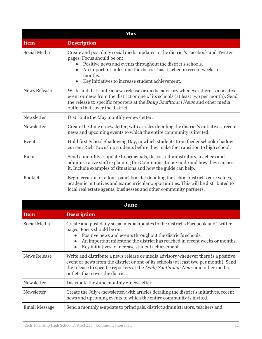| <b>May</b>          |                                                                                                                                                                                                                                                                                                                     |
|---------------------|---------------------------------------------------------------------------------------------------------------------------------------------------------------------------------------------------------------------------------------------------------------------------------------------------------------------|
| <b>Item</b>         | <b>Description</b>                                                                                                                                                                                                                                                                                                  |
| Social Media        | Create and post daily social media updates to the district's Facebook and Twitter<br>pages. Focus should be on:<br>Positive news and events throughout the district's schools.<br>An important milestone the district has reached in recent weeks or<br>months.<br>Key initiatives to increase student achievement. |
| <b>News Release</b> | Write and distribute a news release or media advisory whenever there is a positive<br>event or news from the district or one of its schools (at least two per month). Send<br>the release to specific reporters at the Daily Southtown News and other media<br>outlets that cover the district.                     |
| Newsletter          | Distribute the May monthly e-newsletter.                                                                                                                                                                                                                                                                            |
| Newsletter          | Create the June e-newsletter, with articles detailing the district's initiatives, recent<br>news and upcoming events to which the entire community is invited.                                                                                                                                                      |
| Event               | Hold first School Shadowing Day, in which students from feeder schools shadow<br>current Rich Township students before they make the transition to high school.                                                                                                                                                     |
| Email               | Send a monthly e-update to principals, district administrators, teachers and<br>administrative staff explaining the Communications Guide and how they can use<br>it. Include examples of situations and how the guide can help.                                                                                     |
| <b>Booklet</b>      | Begin creation of a four-panel booklet detailing the school district's core values,<br>academic initiatives and extracurricular opportunities. This will be distributed to<br>local real estate agents, businesses and other community partners.                                                                    |

| June                |                                                                                                                                                                                                                                                                                                                               |
|---------------------|-------------------------------------------------------------------------------------------------------------------------------------------------------------------------------------------------------------------------------------------------------------------------------------------------------------------------------|
| <b>Item</b>         | <b>Description</b>                                                                                                                                                                                                                                                                                                            |
| Social Media        | Create and post daily social media updates to the district's Facebook and Twitter<br>pages. Focus should be on:<br>Positive news and events throughout the district's schools.<br>An important milestone the district has reached in recent weeks or months.<br>$\bullet$<br>Key initiatives to increase student achievement. |
| <b>News Release</b> | Write and distribute a news release or media advisory whenever there is a positive<br>event or news from the district or one of its schools (at least two per month). Send<br>the release to specific reporters at the <i>Daily Southtown News</i> and other media<br>outlets that cover the district.                        |
| Newsletter          | Distribute the June monthly e-newsletter.                                                                                                                                                                                                                                                                                     |
| Newsletter          | Create the July e-newsletter, with articles detailing the district's initiatives, recent<br>news and upcoming events to which the entire community is invited.                                                                                                                                                                |
| Email Message       | Send a monthly e-update to principals, district administrators, teachers and                                                                                                                                                                                                                                                  |